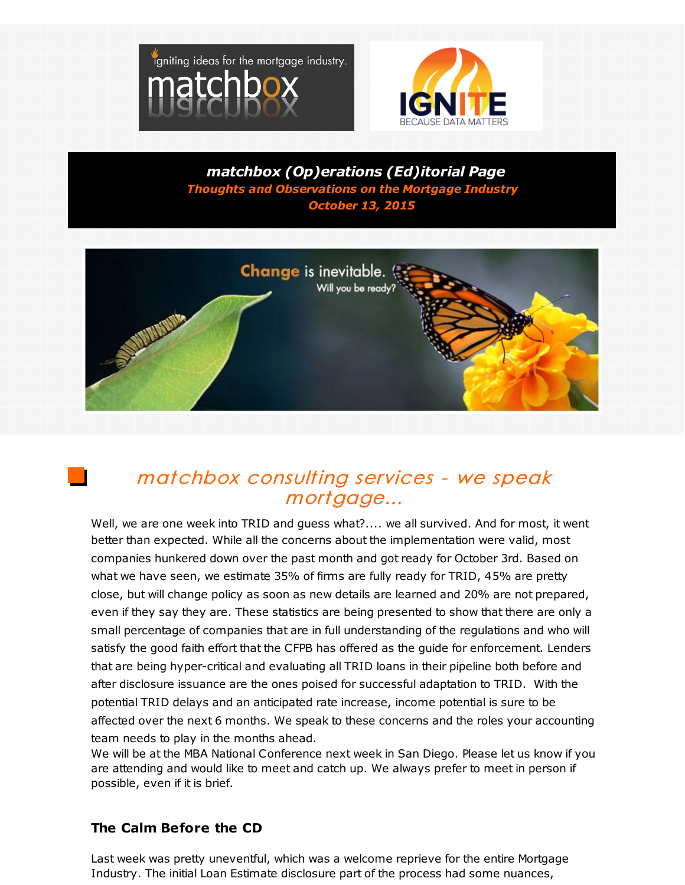



*matchbox (Op)erations (Ed)itorial Page Thoughts and Observations on the Mortgage Industry October 13, 2015*



## matchbox consulting services - we speak mortgage...

Well, we are one week into TRID and guess what?.... we all survived. And for most, it went better than expected. While all the concerns about the implementation were valid, most companies hunkered down over the past month and got ready for October 3rd. Based on what we have seen, we estimate 35% of firms are fully ready for TRID, 45% are pretty close, but will change policy as soon as new details are learned and 20% are not prepared, even if they say they are. These statistics are being presented to show that there are only a small percentage of companies that are in full understanding of the regulations and who will satisfy the good faith effort that the CFPB has offered as the guide for enforcement. Lenders that are being hyper-critical and evaluating all TRID loans in their pipeline both before and after disclosure issuance are the ones poised for successful adaptation to TRID. With the potential TRID delays and an anticipated rate increase, income potential is sure to be affected over the next 6 months. We speak to these concerns and the roles your accounting team needs to play in the months ahead.

We will be at the MBA National Conference next week in San Diego. Please let us know if you are attending and would like to meet and catch up. We always prefer to meet in person if possible, even if it is brief.

## **The Calm Before the CD**

Last week was pretty uneventful, which was a welcome reprieve for the entire Mortgage Industry. The initial Loan Estimate disclosure part of the process had some nuances,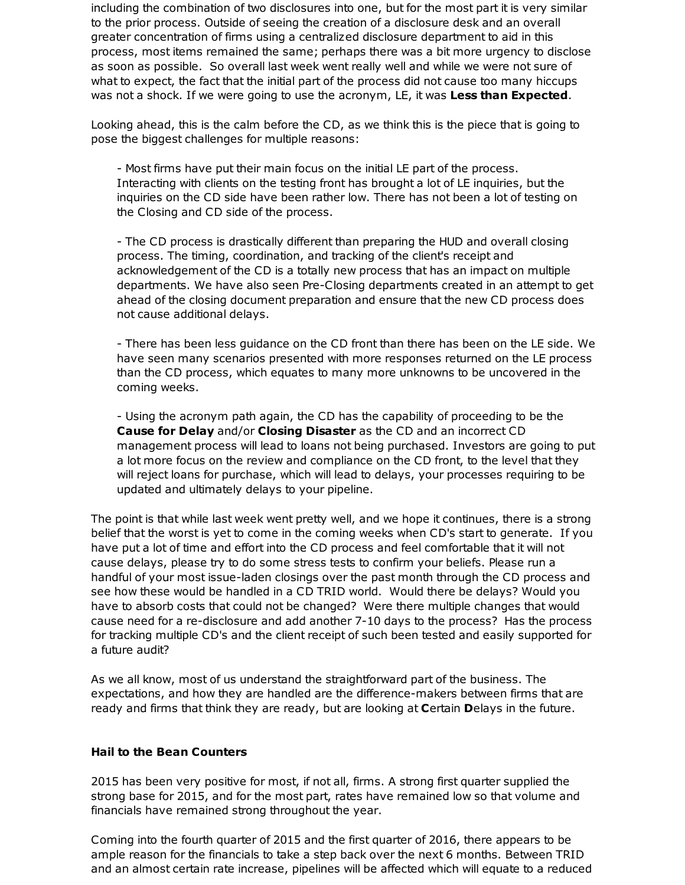including the combination of two disclosures into one, but for the most part it is very similar to the prior process. Outside of seeing the creation of a disclosure desk and an overall greater concentration of firms using a centralized disclosure department to aid in this process, most items remained the same; perhaps there was a bit more urgency to disclose as soon as possible. So overall last week went really well and while we were not sure of what to expect, the fact that the initial part of the process did not cause too many hiccups was not a shock. If we were going to use the acronym, LE, it was **Less than Expected**.

Looking ahead, this is the calm before the CD, as we think this is the piece that is going to pose the biggest challenges for multiple reasons:

- Most firms have put their main focus on the initial LE part of the process. Interacting with clients on the testing front has brought a lot of LE inquiries, but the inquiries on the CD side have been rather low. There has not been a lot of testing on the Closing and CD side of the process.

- The CD process is drastically different than preparing the HUD and overall closing process. The timing, coordination, and tracking of the client's receipt and acknowledgement of the CD is a totally new process that has an impact on multiple departments. We have also seen Pre-Closing departments created in an attempt to get ahead of the closing document preparation and ensure that the new CD process does not cause additional delays.

- There has been less guidance on the CD front than there has been on the LE side. We have seen many scenarios presented with more responses returned on the LE process than the CD process, which equates to many more unknowns to be uncovered in the coming weeks.

- Using the acronym path again, the CD has the capability of proceeding to be the **Cause for Delay** and/or **Closing Disaster** as the CD and an incorrect CD management process will lead to loans not being purchased. Investors are going to put a lot more focus on the review and compliance on the CD front, to the level that they will reject loans for purchase, which will lead to delays, your processes requiring to be updated and ultimately delays to your pipeline.

The point is that while last week went pretty well, and we hope it continues, there is a strong belief that the worst is yet to come in the coming weeks when CD's start to generate. If you have put a lot of time and effort into the CD process and feel comfortable that it will not cause delays, please try to do some stress tests to confirm your beliefs. Please run a handful of your most issue-laden closings over the past month through the CD process and see how these would be handled in a CD TRID world. Would there be delays? Would you have to absorb costs that could not be changed? Were there multiple changes that would cause need for a re-disclosure and add another 7-10 days to the process? Has the process for tracking multiple CD's and the client receipt of such been tested and easily supported for a future audit?

As we all know, most of us understand the straightforward part of the business. The expectations, and how they are handled are the difference-makers between firms that are ready and firms that think they are ready, but are looking at **C**ertain **D**elays in the future.

## **Hail to the Bean Counters**

2015 has been very positive for most, if not all, firms. A strong first quarter supplied the strong base for 2015, and for the most part, rates have remained low so that volume and financials have remained strong throughout the year.

Coming into the fourth quarter of 2015 and the first quarter of 2016, there appears to be ample reason for the financials to take a step back over the next 6 months. Between TRID and an almost certain rate increase, pipelines will be affected which will equate to a reduced